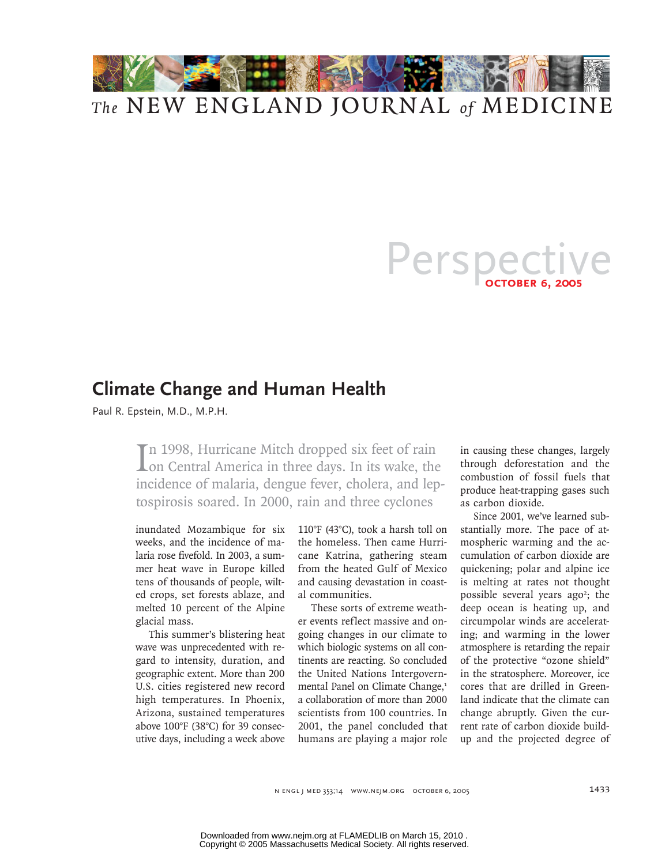

## *The* NEW ENGLAND JOURNAL *of* MEDICINE

## Perspective

## **Climate Change and Human Health**

Paul R. Epstein, M.D., M.P.H.

In 1998, Hurricane Mitch dropped six feet of rain<br>Ion Central America in three days. In its wake, the Lon Central America in three days. In its wake, the incidence of malaria, dengue fever, cholera, and leptospirosis soared. In 2000, rain and three cyclones

inundated Mozambique for six weeks, and the incidence of malaria rose fivefold. In 2003, a summer heat wave in Europe killed tens of thousands of people, wilted crops, set forests ablaze, and melted 10 percent of the Alpine glacial mass.

This summer's blistering heat wave was unprecedented with regard to intensity, duration, and geographic extent. More than 200 U.S. cities registered new record high temperatures. In Phoenix, Arizona, sustained temperatures above 100°F (38°C) for 39 consecutive days, including a week above 110°F (43°C), took a harsh toll on the homeless. Then came Hurricane Katrina, gathering steam from the heated Gulf of Mexico and causing devastation in coastal communities.

These sorts of extreme weather events reflect massive and ongoing changes in our climate to which biologic systems on all continents are reacting. So concluded the United Nations Intergovernmental Panel on Climate Change,<sup>1</sup> a collaboration of more than 2000 scientists from 100 countries. In 2001, the panel concluded that humans are playing a major role

in causing these changes, largely through deforestation and the combustion of fossil fuels that produce heat-trapping gases such as carbon dioxide.

Since 2001, we've learned substantially more. The pace of atmospheric warming and the accumulation of carbon dioxide are quickening; polar and alpine ice is melting at rates not thought possible several years ago<sup>2</sup>; the deep ocean is heating up, and circumpolar winds are accelerating; and warming in the lower atmosphere is retarding the repair of the protective "ozone shield" in the stratosphere. Moreover, ice cores that are drilled in Greenland indicate that the climate can change abruptly. Given the current rate of carbon dioxide buildup and the projected degree of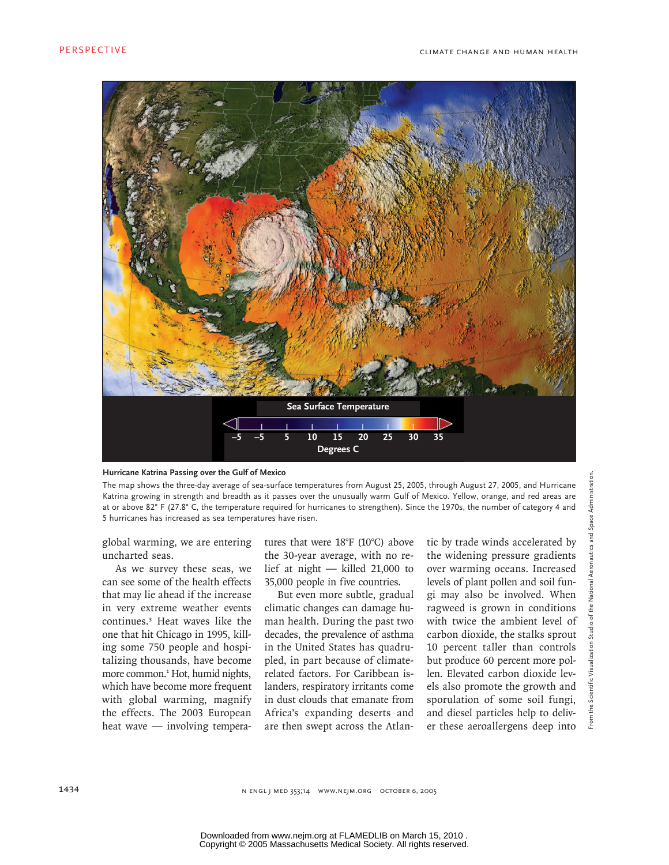

**Hurricane Katrina Passing over the Gulf of Mexico**

The map shows the three-day average of sea-surface temperatures from August 25, 2005, through August 27, 2005, and Hurricane Katrina growing in strength and breadth as it passes over the unusually warm Gulf of Mexico. Yellow, orange, and red areas are at or above 82° F (27.8° C, the temperature required for hurricanes to strengthen). Since the 1970s, the number of category 4 and 5 hurricanes has increased as sea temperatures have risen.

global warming, we are entering uncharted seas.

As we survey these seas, we can see some of the health effects that may lie ahead if the increase in very extreme weather events continues.<sup>3</sup> Heat waves like the one that hit Chicago in 1995, killing some 750 people and hospitalizing thousands, have become more common.<sup>1</sup> Hot, humid nights, which have become more frequent with global warming, magnify the effects. The 2003 European heat wave — involving temperatures that were 18°F (10°C) above the 30-year average, with no relief at night — killed 21,000 to 35,000 people in five countries.

But even more subtle, gradual climatic changes can damage human health. During the past two decades, the prevalence of asthma in the United States has quadrupled, in part because of climaterelated factors. For Caribbean islanders, respiratory irritants come in dust clouds that emanate from Africa's expanding deserts and are then swept across the Atlantic by trade winds accelerated by the widening pressure gradients over warming oceans. Increased levels of plant pollen and soil fungi may also be involved. When ragweed is grown in conditions with twice the ambient level of carbon dioxide, the stalks sprout 10 percent taller than controls but produce 60 percent more pollen. Elevated carbon dioxide levels also promote the growth and sporulation of some soil fungi, and diesel particles help to deliver these aeroallergens deep into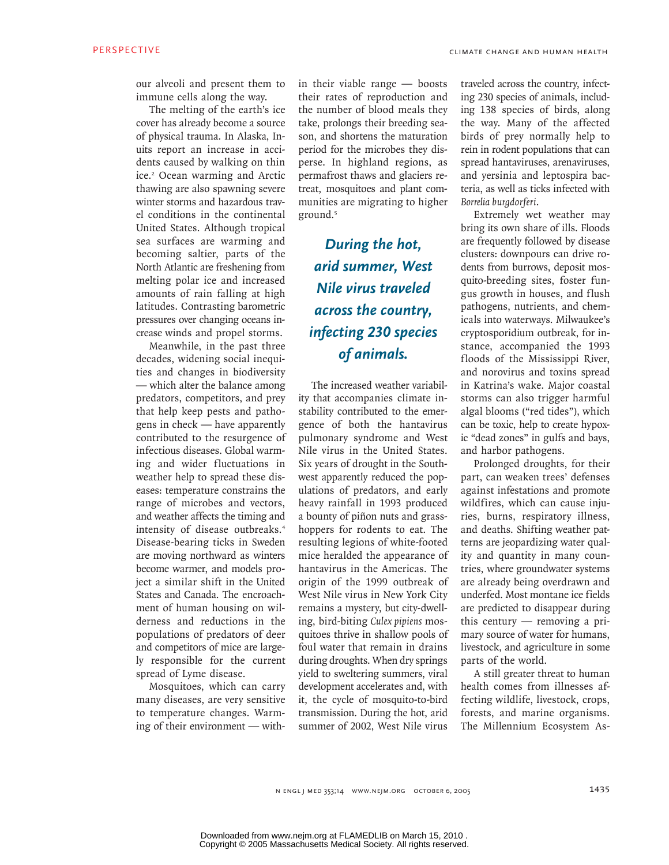our alveoli and present them to immune cells along the way.

The melting of the earth's ice cover has already become a source of physical trauma. In Alaska, Inuits report an increase in accidents caused by walking on thin ice.<sup>2</sup> Ocean warming and Arctic thawing are also spawning severe winter storms and hazardous travel conditions in the continental United States. Although tropical sea surfaces are warming and becoming saltier, parts of the North Atlantic are freshening from melting polar ice and increased amounts of rain falling at high latitudes. Contrasting barometric pressures over changing oceans increase winds and propel storms.

Meanwhile, in the past three decades, widening social inequities and changes in biodiversity — which alter the balance among predators, competitors, and prey that help keep pests and pathogens in check — have apparently contributed to the resurgence of infectious diseases. Global warming and wider fluctuations in weather help to spread these diseases: temperature constrains the range of microbes and vectors, and weather affects the timing and intensity of disease outbreaks.<sup>4</sup> Disease-bearing ticks in Sweden are moving northward as winters become warmer, and models project a similar shift in the United States and Canada. The encroachment of human housing on wilderness and reductions in the populations of predators of deer and competitors of mice are largely responsible for the current spread of Lyme disease.

Mosquitoes, which can carry many diseases, are very sensitive to temperature changes. Warming of their environment — within their viable range — boosts their rates of reproduction and the number of blood meals they take, prolongs their breeding season, and shortens the maturation period for the microbes they disperse. In highland regions, as permafrost thaws and glaciers retreat, mosquitoes and plant communities are migrating to higher ground.<sup>5</sup>

*During the hot, arid summer, West Nile virus traveled across the country, infecting 230 species of animals.*

The increased weather variability that accompanies climate instability contributed to the emergence of both the hantavirus pulmonary syndrome and West Nile virus in the United States. Six years of drought in the Southwest apparently reduced the populations of predators, and early heavy rainfall in 1993 produced a bounty of piñon nuts and grasshoppers for rodents to eat. The resulting legions of white-footed mice heralded the appearance of hantavirus in the Americas. The origin of the 1999 outbreak of West Nile virus in New York City remains a mystery, but city-dwelling, bird-biting *Culex pipiens* mosquitoes thrive in shallow pools of foul water that remain in drains during droughts. When dry springs yield to sweltering summers, viral development accelerates and, with it, the cycle of mosquito-to-bird transmission. During the hot, arid summer of 2002, West Nile virus

traveled across the country, infecting 230 species of animals, including 138 species of birds, along the way. Many of the affected birds of prey normally help to rein in rodent populations that can spread hantaviruses, arenaviruses, and yersinia and leptospira bacteria, as well as ticks infected with *Borrelia burgdorferi*.

Extremely wet weather may bring its own share of ills. Floods are frequently followed by disease clusters: downpours can drive rodents from burrows, deposit mosquito-breeding sites, foster fungus growth in houses, and flush pathogens, nutrients, and chemicals into waterways. Milwaukee's cryptosporidium outbreak, for instance, accompanied the 1993 floods of the Mississippi River, and norovirus and toxins spread in Katrina's wake. Major coastal storms can also trigger harmful algal blooms ("red tides"), which can be toxic, help to create hypoxic "dead zones" in gulfs and bays, and harbor pathogens.

Prolonged droughts, for their part, can weaken trees' defenses against infestations and promote wildfires, which can cause injuries, burns, respiratory illness, and deaths. Shifting weather patterns are jeopardizing water quality and quantity in many countries, where groundwater systems are already being overdrawn and underfed. Most montane ice fields are predicted to disappear during this century — removing a primary source of water for humans, livestock, and agriculture in some parts of the world.

A still greater threat to human health comes from illnesses affecting wildlife, livestock, crops, forests, and marine organisms. The Millennium Ecosystem As-